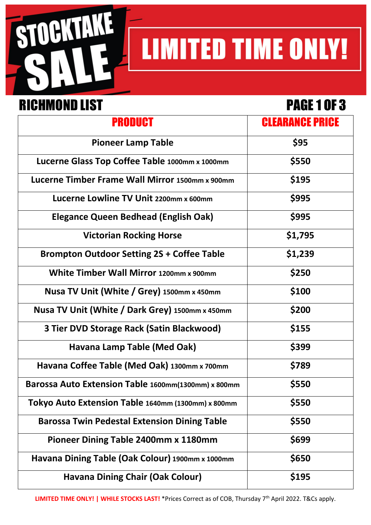

# **LIMITED TIME ONLY!**

### RICHMOND LIST PAGE 1 OF 3

| <b>PRODUCT</b>                                      | <b>CLEARANCE PRICE</b> |
|-----------------------------------------------------|------------------------|
| <b>Pioneer Lamp Table</b>                           | \$95                   |
| Lucerne Glass Top Coffee Table 1000mm x 1000mm      | \$550                  |
| Lucerne Timber Frame Wall Mirror 1500mm x 900mm     | \$195                  |
| Lucerne Lowline TV Unit 2200mm x 600mm              | \$995                  |
| <b>Elegance Queen Bedhead (English Oak)</b>         | \$995                  |
| <b>Victorian Rocking Horse</b>                      | \$1,795                |
| <b>Brompton Outdoor Setting 2S + Coffee Table</b>   | \$1,239                |
| White Timber Wall Mirror 1200mm x 900mm             | \$250                  |
| Nusa TV Unit (White / Grey) 1500mm x 450mm          | \$100                  |
| Nusa TV Unit (White / Dark Grey) 1500mm x 450mm     | \$200                  |
| 3 Tier DVD Storage Rack (Satin Blackwood)           | \$155                  |
| Havana Lamp Table (Med Oak)                         | \$399                  |
| Havana Coffee Table (Med Oak) 1300mm x 700mm        | \$789                  |
| Barossa Auto Extension Table 1600mm(1300mm) x 800mm | \$550                  |
| Tokyo Auto Extension Table 1640mm (1300mm) x 800mm  | \$550                  |
| <b>Barossa Twin Pedestal Extension Dining Table</b> | \$550                  |
| Pioneer Dining Table 2400mm x 1180mm                | \$699                  |
| Havana Dining Table (Oak Colour) 1900mm x 1000mm    | \$650                  |
| <b>Havana Dining Chair (Oak Colour)</b>             | \$195                  |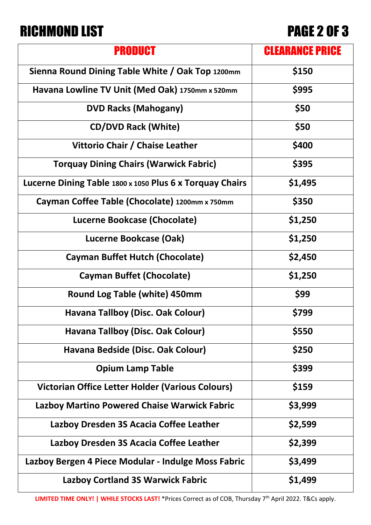### RICHMOND LIST PAGE 2 OF 3

| PRODUCT                                                  | <b>CLEARANCE PRICE</b> |
|----------------------------------------------------------|------------------------|
| Sienna Round Dining Table White / Oak Top 1200mm         | \$150                  |
| Havana Lowline TV Unit (Med Oak) 1750mm x 520mm          | \$995                  |
| <b>DVD Racks (Mahogany)</b>                              | \$50                   |
| <b>CD/DVD Rack (White)</b>                               | \$50                   |
| Vittorio Chair / Chaise Leather                          | \$400                  |
| <b>Torquay Dining Chairs (Warwick Fabric)</b>            | \$395                  |
| Lucerne Dining Table 1800 x 1050 Plus 6 x Torquay Chairs | \$1,495                |
| Cayman Coffee Table (Chocolate) 1200mm x 750mm           | \$350                  |
| Lucerne Bookcase (Chocolate)                             | \$1,250                |
| Lucerne Bookcase (Oak)                                   | \$1,250                |
| <b>Cayman Buffet Hutch (Chocolate)</b>                   | \$2,450                |
| <b>Cayman Buffet (Chocolate)</b>                         | \$1,250                |
| <b>Round Log Table (white) 450mm</b>                     | \$99                   |
| Havana Tallboy (Disc. Oak Colour)                        | \$799                  |
| Havana Tallboy (Disc. Oak Colour)                        | \$550                  |
| Havana Bedside (Disc. Oak Colour)                        | \$250                  |
| <b>Opium Lamp Table</b>                                  | \$399                  |
| Victorian Office Letter Holder (Various Colours)         | \$159                  |
| <b>Lazboy Martino Powered Chaise Warwick Fabric</b>      | \$3,999                |
| Lazboy Dresden 3S Acacia Coffee Leather                  | \$2,599                |
| Lazboy Dresden 3S Acacia Coffee Leather                  | \$2,399                |
| Lazboy Bergen 4 Piece Modular - Indulge Moss Fabric      | \$3,499                |
| <b>Lazboy Cortland 3S Warwick Fabric</b>                 | \$1,499                |

**LIMITED TIME ONLY! | WHILE STOCKS LAST!** \*Prices Correct as of COB, Thursday 7th April 2022. T&Cs apply.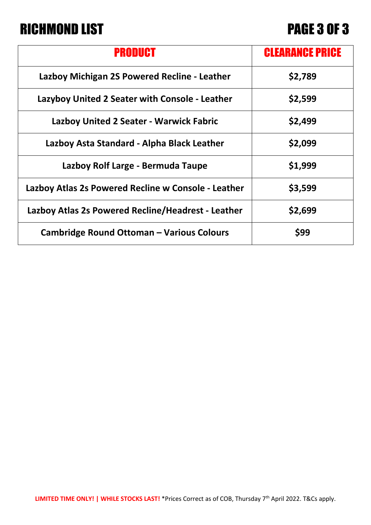## RICHMOND LIST PAGE 3 OF 3

| PRODUCT                                             | <b>CLEARANCE PRICE</b> |
|-----------------------------------------------------|------------------------|
| Lazboy Michigan 2S Powered Recline - Leather        | \$2,789                |
| Lazyboy United 2 Seater with Console - Leather      | \$2,599                |
| <b>Lazboy United 2 Seater - Warwick Fabric</b>      | \$2,499                |
| Lazboy Asta Standard - Alpha Black Leather          | \$2,099                |
| Lazboy Rolf Large - Bermuda Taupe                   | \$1,999                |
| Lazboy Atlas 2s Powered Recline w Console - Leather | \$3,599                |
| Lazboy Atlas 2s Powered Recline/Headrest - Leather  | \$2,699                |
| <b>Cambridge Round Ottoman - Various Colours</b>    | \$99                   |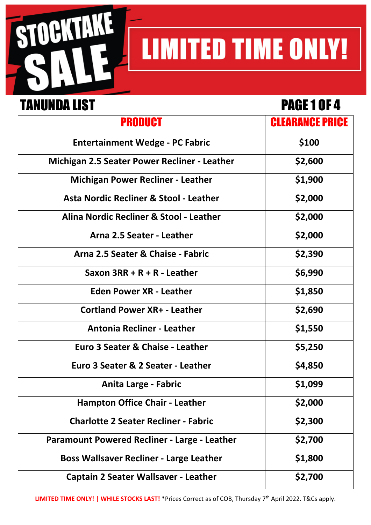

# **LIMITED TIME ONLY!**

### TANUNDA LIST PAGE 1 OF 4

| PRODUCT                                             | <b>CLEARANCE PRICE</b> |
|-----------------------------------------------------|------------------------|
| <b>Entertainment Wedge - PC Fabric</b>              | \$100                  |
| <b>Michigan 2.5 Seater Power Recliner - Leather</b> | \$2,600                |
| <b>Michigan Power Recliner - Leather</b>            | \$1,900                |
| Asta Nordic Recliner & Stool - Leather              | \$2,000                |
| Alina Nordic Recliner & Stool - Leather             | \$2,000                |
| Arna 2.5 Seater - Leather                           | \$2,000                |
| Arna 2.5 Seater & Chaise - Fabric                   | \$2,390                |
| Saxon $3RR + R + R$ - Leather                       | \$6,990                |
| <b>Eden Power XR - Leather</b>                      | \$1,850                |
| <b>Cortland Power XR+ - Leather</b>                 | \$2,690                |
| <b>Antonia Recliner - Leather</b>                   | \$1,550                |
| Euro 3 Seater & Chaise - Leather                    | \$5,250                |
| Euro 3 Seater & 2 Seater - Leather                  | \$4,850                |
| Anita Large - Fabric                                | \$1,099                |
| <b>Hampton Office Chair - Leather</b>               | \$2,000                |
| <b>Charlotte 2 Seater Recliner - Fabric</b>         | \$2,300                |
| <b>Paramount Powered Recliner - Large - Leather</b> | \$2,700                |
| <b>Boss Wallsaver Recliner - Large Leather</b>      | \$1,800                |
| <b>Captain 2 Seater Wallsaver - Leather</b>         | \$2,700                |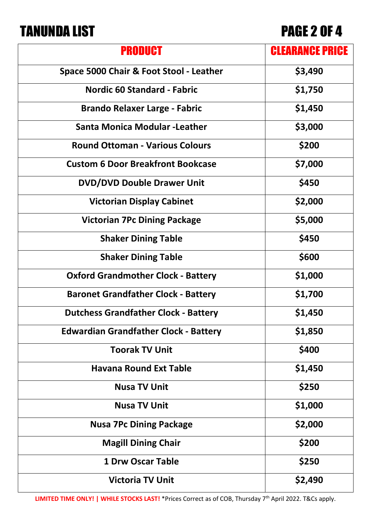### TANUNDA LIST PAGE 2 OF 4

| <b>PRODUCT</b>                               | <b>CLEARANCE PRICE</b> |
|----------------------------------------------|------------------------|
| Space 5000 Chair & Foot Stool - Leather      | \$3,490                |
| <b>Nordic 60 Standard - Fabric</b>           | \$1,750                |
| <b>Brando Relaxer Large - Fabric</b>         | \$1,450                |
| <b>Santa Monica Modular - Leather</b>        | \$3,000                |
| <b>Round Ottoman - Various Colours</b>       | \$200                  |
| <b>Custom 6 Door Breakfront Bookcase</b>     | \$7,000                |
| <b>DVD/DVD Double Drawer Unit</b>            | \$450                  |
| <b>Victorian Display Cabinet</b>             | \$2,000                |
| <b>Victorian 7Pc Dining Package</b>          | \$5,000                |
| <b>Shaker Dining Table</b>                   | \$450                  |
| <b>Shaker Dining Table</b>                   | \$600                  |
| <b>Oxford Grandmother Clock - Battery</b>    | \$1,000                |
| <b>Baronet Grandfather Clock - Battery</b>   | \$1,700                |
| <b>Dutchess Grandfather Clock - Battery</b>  | \$1,450                |
| <b>Edwardian Grandfather Clock - Battery</b> | \$1,850                |
| <b>Toorak TV Unit</b>                        | \$400                  |
| <b>Havana Round Ext Table</b>                | \$1,450                |
| <b>Nusa TV Unit</b>                          | \$250                  |
| <b>Nusa TV Unit</b>                          | \$1,000                |
| <b>Nusa 7Pc Dining Package</b>               | \$2,000                |
| <b>Magill Dining Chair</b>                   | \$200                  |
| <b>1 Drw Oscar Table</b>                     | \$250                  |
| <b>Victoria TV Unit</b>                      | \$2,490                |

**LIMITED TIME ONLY! | WHILE STOCKS LAST!** \*Prices Correct as of COB, Thursday 7th April 2022. T&Cs apply.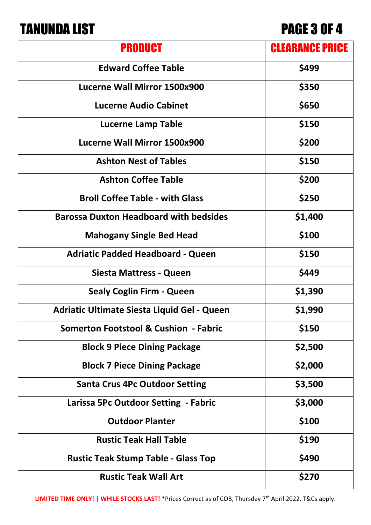## TANUNDA LIST PAGE 3 OF 4

| PRODUCT                                            | <b>CLEARANCE PRICE</b> |
|----------------------------------------------------|------------------------|
| <b>Edward Coffee Table</b>                         | \$499                  |
| Lucerne Wall Mirror 1500x900                       | \$350                  |
| <b>Lucerne Audio Cabinet</b>                       | \$650                  |
| <b>Lucerne Lamp Table</b>                          | \$150                  |
| Lucerne Wall Mirror 1500x900                       | \$200                  |
| <b>Ashton Nest of Tables</b>                       | \$150                  |
| <b>Ashton Coffee Table</b>                         | \$200                  |
| <b>Broll Coffee Table - with Glass</b>             | \$250                  |
| <b>Barossa Duxton Headboard with bedsides</b>      | \$1,400                |
| <b>Mahogany Single Bed Head</b>                    | \$100                  |
| <b>Adriatic Padded Headboard - Queen</b>           | \$150                  |
| Siesta Mattress - Queen                            | \$449                  |
| <b>Sealy Coglin Firm - Queen</b>                   | \$1,390                |
| <b>Adriatic Ultimate Siesta Liquid Gel - Queen</b> | \$1,990                |
| <b>Somerton Footstool &amp; Cushion - Fabric</b>   | \$150                  |
| <b>Block 9 Piece Dining Package</b>                | \$2,500                |
| <b>Block 7 Piece Dining Package</b>                | \$2,000                |
| <b>Santa Crus 4Pc Outdoor Setting</b>              | \$3,500                |
| Larissa 5Pc Outdoor Setting - Fabric               | \$3,000                |
| <b>Outdoor Planter</b>                             | \$100                  |
| <b>Rustic Teak Hall Table</b>                      | \$190                  |
| <b>Rustic Teak Stump Table - Glass Top</b>         | \$490                  |
| <b>Rustic Teak Wall Art</b>                        | \$270                  |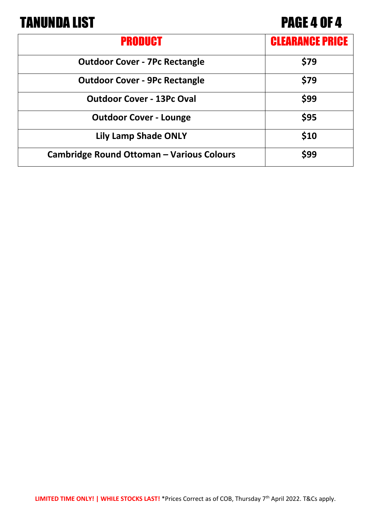### TANUNDA LIST PAGE 4 OF 4

| PRODUCT                                          | <b>CLEARANCE PRICE</b> |
|--------------------------------------------------|------------------------|
| <b>Outdoor Cover - 7Pc Rectangle</b>             | \$79                   |
| <b>Outdoor Cover - 9Pc Rectangle</b>             | \$79                   |
| <b>Outdoor Cover - 13Pc Oval</b>                 | \$99                   |
| <b>Outdoor Cover - Lounge</b>                    | \$95                   |
| <b>Lily Lamp Shade ONLY</b>                      | \$10                   |
| <b>Cambridge Round Ottoman - Various Colours</b> | \$99                   |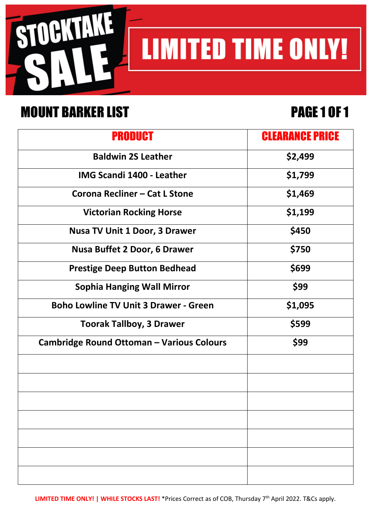

### MOUNT BARKER LIST FRAGE 1 OF 1

**LIMITED TIME ONLY!** 

| <b>PRODUCT</b>                                   | <b>CLEARANCE PRICE</b> |
|--------------------------------------------------|------------------------|
| <b>Baldwin 2S Leather</b>                        | \$2,499                |
| <b>IMG Scandi 1400 - Leather</b>                 | \$1,799                |
| Corona Recliner - Cat L Stone                    | \$1,469                |
| <b>Victorian Rocking Horse</b>                   | \$1,199                |
| <b>Nusa TV Unit 1 Door, 3 Drawer</b>             | \$450                  |
| <b>Nusa Buffet 2 Door, 6 Drawer</b>              | \$750                  |
| <b>Prestige Deep Button Bedhead</b>              | \$699                  |
| <b>Sophia Hanging Wall Mirror</b>                | \$99                   |
| <b>Boho Lowline TV Unit 3 Drawer - Green</b>     | \$1,095                |
| <b>Toorak Tallboy, 3 Drawer</b>                  | \$599                  |
| <b>Cambridge Round Ottoman - Various Colours</b> | \$99                   |
|                                                  |                        |
|                                                  |                        |
|                                                  |                        |
|                                                  |                        |
|                                                  |                        |
|                                                  |                        |